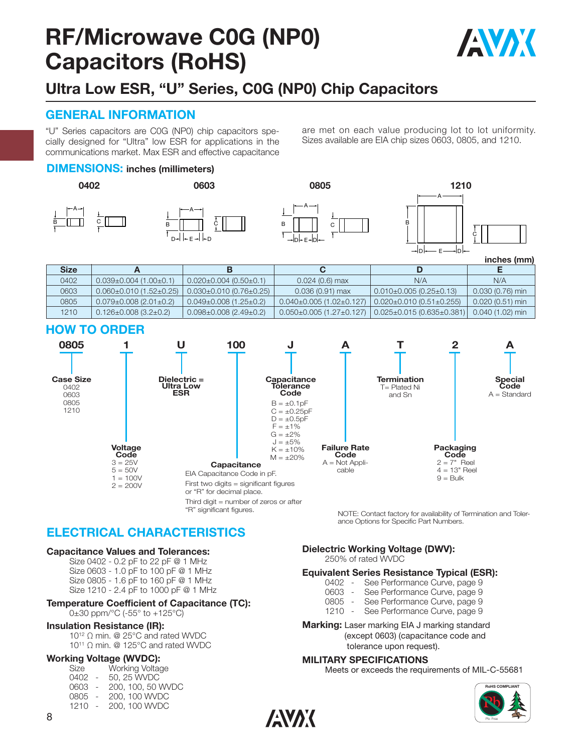# **RF/Microwave C0G (NP0) Capacitors (RoHS)**



### **Ultra Low ESR, "U" Series, C0G (NP0) Chip Capacitors**

#### **GENERAL INFORMATION**

"U" Series capacitors are C0G (NP0) chip capacitors spe cially designed for "Ultra" low ESR for applications in the communications market. Max ESR and effective capacitance are met on each value producing lot to lot uniformity. Sizes available are EIA chip sizes 0603, 0805, and 1210.

B

#### **DIMENSIONS: inches (millimeters)**





"R" significant figures.





**inches (mm)**

| <b>Size</b> |                                     |                                    |                               |                                      |                   |
|-------------|-------------------------------------|------------------------------------|-------------------------------|--------------------------------------|-------------------|
| 0402        | $0.039 \pm 0.004$ (1.00 $\pm$ 0.1)  | $0.020 \pm 0.004$ (0.50 $\pm$ 0.1) | $0.024(0.6)$ max              | N/A                                  | N/A               |
| 0603        | $0.060 \pm 0.010$ (1.52 $\pm$ 0.25) | $0.030\pm0.010$ (0.76 $\pm0.25$ )  | $0.036(0.91)$ max             | l 0.010±0.005 (0.25±0.13)            | $0.030(0.76)$ min |
| 0805        | $0.079 \pm 0.008$ (2.01 $\pm$ 0.2)  | $0.049\pm0.008$ (1.25 $\pm$ 0.2)   | $0.040\pm0.005(1.02\pm0.127)$ | $0.020 \pm 0.010(0.51 \pm 0.255)$    | $0.020(0.51)$ min |
| 1210        | $0.126 \pm 0.008$ (3.2 $\pm$ 0.2)   | $0.098 \pm 0.008$ (2.49 $\pm$ 0.2) | $0.050\pm0.005(1.27\pm0.127)$ | $ 0.025 \pm 0.015(0.635 \pm 0.381) $ | $0.040(1.02)$ min |

#### **HOW TO ORDER**



**ANAK** 

NOTE: Contact factory for availability of Termination and Tolerance Options for Specific Part Numbers.

### **ELECTRICAL CHARACTERISTICS**

#### **Capacitance Values and Tolerances:**

Size 0402 - 0.2 pF to 22 pF @ 1 MHz Size 0603 - 1.0 pF to 100 pF @ 1 MHz Size 0805 - 1.6 pF to 160 pF @ 1 MHz Size 1210 - 2.4 pF to 1000 pF @ 1 MHz

#### **Temperature Coefficient of Capacitance (TC):**

0±30 ppm/°C (-55° to +125°C)

#### **Insulation Resistance (IR):**

10<sup>12</sup> Ω min. @ 25°C and rated WVDC 10<sup>11</sup> Ω min. @ 125°C and rated WVDC

#### **Working Voltage (WVDC):**

| Size |                          | Working Voltage   |
|------|--------------------------|-------------------|
| 0402 | $\overline{\phantom{a}}$ | 50, 25 WVDC       |
| 0603 | $\overline{\phantom{a}}$ | 200, 100, 50 WVDC |
| 0805 | $\overline{\phantom{a}}$ | 200, 100 WVDC     |
| 1210 |                          | 200, 100 WVDC     |

**Dielectric Working Voltage (DWV):**

250% of rated WVDC

#### **Equivalent Series Resistance Typical (ESR):**

- 0402 See Performance Curve, page 9
- 0603 See Performance Curve, page 9
	-
- 0805 See Performance Curve, page 9<br>1210 See Performance Curve, page 9 See Performance Curve, page 9
- **Marking:** Laser marking EIA J marking standard (except 0603) (capacitance code and

tolerance upon request).

#### **MILITARY SPECIFICATIONS**

Meets or exceeds the requirements of MIL-C-55681

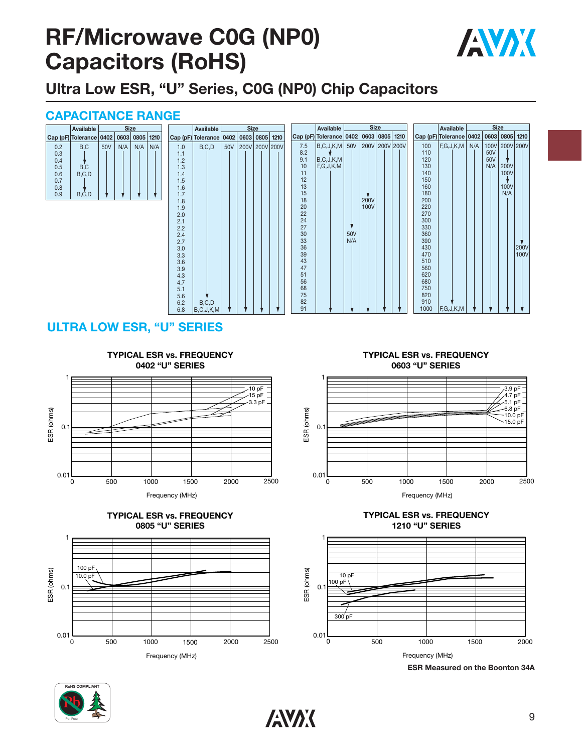# **RF/Microwave C0G (NP0) Capacitors (RoHS)**



**Ultra Low ESR, "U" Series, C0G (NP0) Chip Capacitors**

### **CAPACITANCE RANGE**

|     | Available                              |     | <b>Size</b> |     |     |
|-----|----------------------------------------|-----|-------------|-----|-----|
|     | Cap (pF) Tolerance 0402 0603 0805 1210 |     |             |     |     |
| 0.2 | B.C                                    | 50V | N/A         | N/A | N/A |
| 0.3 |                                        |     |             |     |     |
| 0.4 |                                        |     |             |     |     |
| 0.5 | B.C                                    |     |             |     |     |
| 0.6 | B.C.D                                  |     |             |     |     |
| 0.7 |                                        |     |             |     |     |
| 0.8 |                                        |     |             |     |     |
| 0.9 | $B, \dot{C}, D$                        |     |             |     |     |

| .          |                           |     |             |           |      |          |                         |     |             |      |           |            |                         |     |             |           |             |
|------------|---------------------------|-----|-------------|-----------|------|----------|-------------------------|-----|-------------|------|-----------|------------|-------------------------|-----|-------------|-----------|-------------|
|            | Available                 |     | <b>Size</b> |           |      |          | Available               |     | <b>Size</b> |      |           |            | Available               |     | <b>Size</b> |           |             |
|            | Cap (pF) Tolerance   0402 |     | 0603        | 0805      | 1210 |          | Cap (pF) Tolerance 0402 |     | 0603        | 0805 | 1210      |            | Cap (pF) Tolerance 0402 |     | 0603        | 0805      | 1210        |
| 1.0        | B, C, D                   | 50V | 200V        | 200V 200V |      | 7.5      | B, C, J, K, M           | 50V | 200V        |      | 200V 200V | 100        | F,G,J,K,M               | N/A | 100V        | 200V 200V |             |
| 1.1        |                           |     |             |           |      | 8.2      |                         |     |             |      |           | 110        |                         |     | 50V         |           |             |
| 1.2        |                           |     |             |           |      | 9.1      | B, C, J, K, M           |     |             |      |           | 120        |                         |     | 50V         |           |             |
| 1.3        |                           |     |             |           |      | 10       | F,G,J,K,M               |     |             |      |           | 130        |                         |     | N/A         | 200V      |             |
| 1.4        |                           |     |             |           |      | 11       |                         |     |             |      |           | 140        |                         |     |             | 100V      |             |
| 1.5        |                           |     |             |           |      | 12       |                         |     |             |      |           | 150        |                         |     |             |           |             |
| 1.6        |                           |     |             |           |      | 13       |                         |     |             |      |           | 160        |                         |     |             | 100V      |             |
| 1.7        |                           |     |             |           |      | 15       |                         |     |             |      |           | 180        |                         |     |             | N/A       |             |
| 1.8        |                           |     |             |           |      | 18       |                         |     | <b>200V</b> |      |           | 200        |                         |     |             |           |             |
| 1.9        |                           |     |             |           |      | 20       |                         |     | 100V        |      |           | 220        |                         |     |             |           |             |
| 2.0        |                           |     |             |           |      | 22       |                         |     |             |      |           | 270        |                         |     |             |           |             |
| 2.1        |                           |     |             |           |      | 24       |                         |     |             |      |           | 300        |                         |     |             |           |             |
| 2.2        |                           |     |             |           |      | 27       |                         |     |             |      |           | 330        |                         |     |             |           |             |
| 2.4        |                           |     |             |           |      | 30       |                         | 50V |             |      |           | 360        |                         |     |             |           |             |
| 2.7        |                           |     |             |           |      | 33       |                         | N/A |             |      |           | 390        |                         |     |             |           |             |
| 3.0        |                           |     |             |           |      | 36       |                         |     |             |      |           | 430        |                         |     |             |           | <b>200V</b> |
| 3.3        |                           |     |             |           |      | 39<br>43 |                         |     |             |      |           | 470        |                         |     |             |           | 100V        |
| 3.6        |                           |     |             |           |      | 47       |                         |     |             |      |           | 510<br>560 |                         |     |             |           |             |
| 3.9        |                           |     |             |           |      | 51       |                         |     |             |      |           | 620        |                         |     |             |           |             |
| 4.3        |                           |     |             |           |      | 56       |                         |     |             |      |           | 680        |                         |     |             |           |             |
| 4.7<br>5.1 |                           |     |             |           |      | 68       |                         |     |             |      |           | 750        |                         |     |             |           |             |
| 5.6        |                           |     |             |           |      | 75       |                         |     |             |      |           | 820        |                         |     |             |           |             |
| 6.2        | B, C, D                   |     |             |           |      | 82       |                         |     |             |      |           | 910        |                         |     |             |           |             |
| 6.8        | B, C, J, K, M             |     |             |           |      | 91       |                         |     |             |      |           | 1000       | F,G,J,K,M               |     |             |           |             |
|            |                           |     |             |           |      |          |                         |     |             |      |           |            |                         |     |             |           |             |

### **ULTRA LOW ESR, "U" SERIES**



Frequency (MHz)





**TYPICAL ESR vs. FREQUENCY 0603 "U" SERIES**



**TYPICAL ESR vs. FREQUENCY 1210 "U" SERIES**



**ESR Measured on the Boonton 34A**

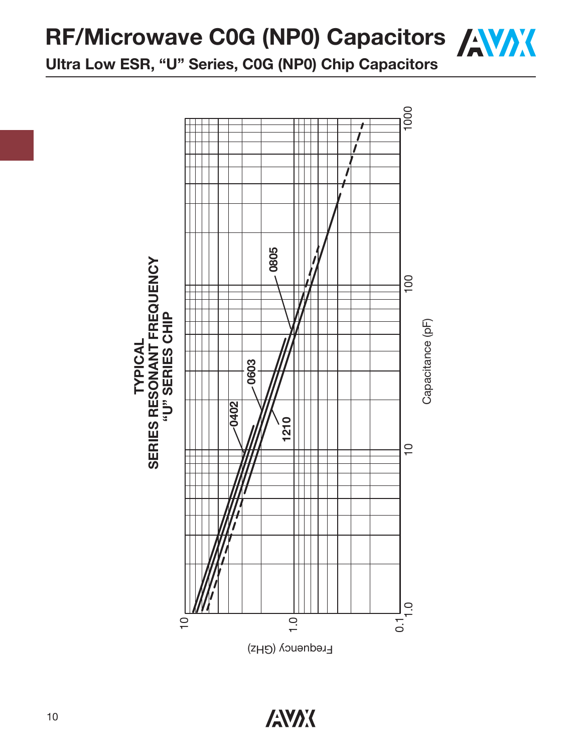**RF/Microwave C0G (NP0) Capacitors / WAX** 

**Ultra Low ESR, "U" Series, C0G (NP0) Chip Capacitors**



Eredneuc $\lambda$  (GHz)

**ANAK**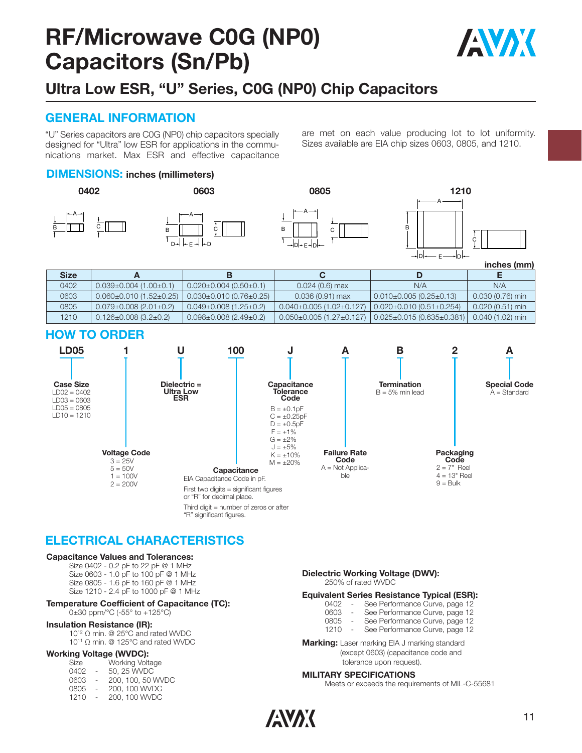# **RF/Microwave C0G (NP0) Capacitors (Sn/Pb)**



# **Ultra Low ESR, "U" Series, C0G (NP0) Chip Capacitors**

#### **GENERAL INFORMATION**

"U" Series capacitors are C0G (NP0) chip capacitors specially designed for "Ultra" low ESR for applications in the communications market. Max ESR and effective capacitance are met on each value producing lot to lot uniformity. Sizes available are EIA chip sizes 0603, 0805, and 1210.

#### **DIMENSIONS: inches (millimeters)**



**inches (mm)**

| <b>Size</b> |                                     |                                     |                                                                                |                                   |                   |
|-------------|-------------------------------------|-------------------------------------|--------------------------------------------------------------------------------|-----------------------------------|-------------------|
| 0402        | $0.039 \pm 0.004$ (1.00 $\pm$ 0.1)  | $0.020 \pm 0.004$ (0.50 $\pm$ 0.1)  | $0.024(0.6)$ max                                                               | N/A                               | N/A               |
| 0603        | $0.060 \pm 0.010$ (1.52 $\pm$ 0.25) | $0.030 \pm 0.010$ (0.76 $\pm$ 0.25) | $0.036(0.91)$ max                                                              | l 0.010±0.005 (0.25±0.13)         | $0.030(0.76)$ min |
| 0805        | $0.079 \pm 0.008$ (2.01 $\pm$ 0.2)  | $0.049 \pm 0.008$ (1.25 $\pm$ 0.2)  | $0.040\pm0.005$ (1.02 $\pm$ 0.127)                                             | $0.020 \pm 0.010(0.51 \pm 0.254)$ | $0.020(0.51)$ min |
| 1210        | $0.126 \pm 0.008$ (3.2 $\pm$ 0.2)   | $0.098\pm0.008(2.49\pm0.2)$         | $0.050\pm0.005$ (1.27 $\pm$ 0.127) $\pm$ 0.025 $\pm$ 0.015 (0.635 $\pm$ 0.381) |                                   | $0.040(1.02)$ min |

#### **HOW TO ORDER**



### **ELECTRICAL CHARACTERISTICS**

"R" significant figures.

#### **Capacitance Values and Tolerances:**

Size 0402 - 0.2 pF to 22 pF @ 1 MHz Size 0603 - 1.0 pF to 100 pF @ 1 MHz Size 0805 - 1.6 pF to 160 pF @ 1 MHz Size 1210 - 2.4 pF to 1000 pF @ 1 MHz

#### **Temperature Coefficient of Capacitance (TC):** 0±30 ppm/°C (-55° to +125°C)

**Insulation Resistance (IR):** 10<sup>12</sup> Ω min. @ 25°C and rated WVDC

10<sup>11</sup> Ω min. @ 125°C and rated WVDC

#### **Working Voltage (WVDC):**

| Size |                          | Working Voltage   |
|------|--------------------------|-------------------|
| 0402 | $\sim$                   | 50, 25 WVDC       |
| 0603 | $\sim$                   | 200, 100, 50 WVDC |
| 0805 | $\overline{\phantom{a}}$ | 200, 100 WVDC     |
| 1210 | $\sim$                   | 200, 100 WVDC     |
|      |                          |                   |

### **Dielectric Working Voltage (DWV):**

250% of rated WVDC

#### **Equivalent Series Resistance Typical (ESR):**

- 0402 See Performance Curve, page 12<br>0603 See Performance Curve, page 12
- 0603 See Performance Curve, page 12<br>0805 See Performance Curve, page 12
- 0805 See Performance Curve, page 12<br>1210 See Performance Curve, page 12
- See Performance Curve, page 12

**Marking:** Laser marking EIA J marking standard (except 0603) (capacitance code and tolerance upon request).

#### **MILITARY SPECIFICATIONS**

Meets or exceeds the requirements of MIL-C-55681

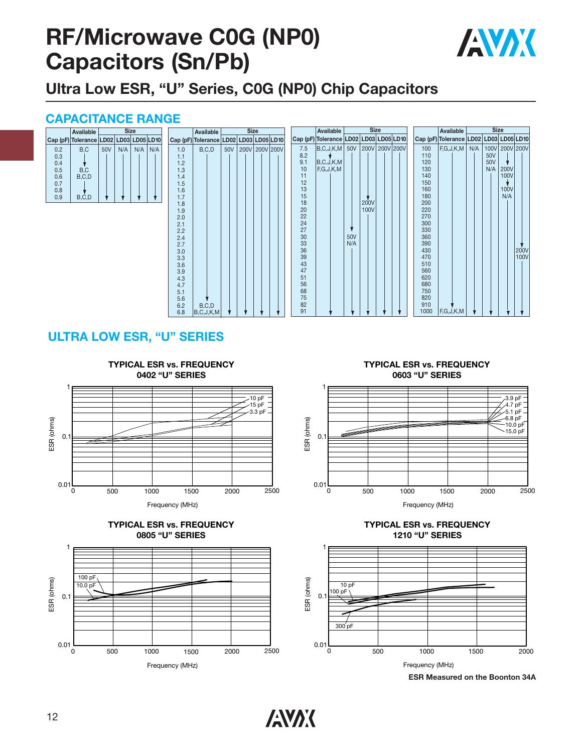# **RF/Microwave C0G (NP0) Capacitors (Sn/Pb)**



**Ultra Low ESR, "U" Series, C0G (NP0) Chip Capacitors**

#### **CAPACITANCE RANGE**

|     | Available                              | <b>Size</b> |     |     |     |  |  |
|-----|----------------------------------------|-------------|-----|-----|-----|--|--|
|     | Cap (pF) Tolerance LD02 LD03 LD05 LD10 |             |     |     |     |  |  |
| 0.2 | B.C                                    | 50V         | N/A | N/A | N/A |  |  |
| 0.3 |                                        |             |     |     |     |  |  |
| 0.4 |                                        |             |     |     |     |  |  |
| 0.5 | B,C                                    |             |     |     |     |  |  |
| 0.6 | B.C.D                                  |             |     |     |     |  |  |
| 0.7 |                                        |             |     |     |     |  |  |
| 0.8 |                                        |             |     |     |     |  |  |
| 0.9 | $B, \dot{C}, D$                        |             |     |     |     |  |  |

|            | Available                              |     | <b>Size</b> |           |  |          | Available                   |     |                 |
|------------|----------------------------------------|-----|-------------|-----------|--|----------|-----------------------------|-----|-----------------|
|            | Cap (pF) Tolerance LD02 LD03 LD05 LD10 |     |             |           |  |          | Cap (pF) Tolerance LD02 LD0 |     |                 |
| 1.0        | B, C, D                                | 50V | 200V        | 200V 200V |  | 7.5      | B, C, J, K, M               | 50V | 200             |
| 1.1        |                                        |     |             |           |  | 8.2      |                             |     |                 |
| 1.2        |                                        |     |             |           |  | 9.1      | B, C, J, K, M               |     |                 |
| 1.3        |                                        |     |             |           |  | 10       | F,G,J,K,M                   |     |                 |
| 1.4        |                                        |     |             |           |  | 11       |                             |     |                 |
| 1.5        |                                        |     |             |           |  | 12       |                             |     |                 |
| 1.6        |                                        |     |             |           |  | 13       |                             |     |                 |
| 1.7        |                                        |     |             |           |  | 15       |                             |     |                 |
| 1.8        |                                        |     |             |           |  | 18       |                             |     | 20C             |
| 1.9        |                                        |     |             |           |  | 20       |                             |     | 10 <sub>C</sub> |
| 2.0        |                                        |     |             |           |  | 22<br>24 |                             |     |                 |
| 2.1        |                                        |     |             |           |  | 27       |                             |     |                 |
| 2.2<br>2.4 |                                        |     |             |           |  | 30       |                             | 50V |                 |
| 2.7        |                                        |     |             |           |  | 33       |                             | N/A |                 |
| 3.0        |                                        |     |             |           |  | 36       |                             |     |                 |
| 3.3        |                                        |     |             |           |  | 39       |                             |     |                 |
| 3.6        |                                        |     |             |           |  | 43       |                             |     |                 |
| 3.9        |                                        |     |             |           |  | 47       |                             |     |                 |
| 4.3        |                                        |     |             |           |  | 51       |                             |     |                 |
| 4.7        |                                        |     |             |           |  | 56       |                             |     |                 |
| 5.1        |                                        |     |             |           |  | 68       |                             |     |                 |
| 5.6        |                                        |     |             |           |  | 75       |                             |     |                 |
| 6.2        | B, C, D                                |     |             |           |  | 82       |                             |     |                 |
| 6.8        | B, C, J, K, M                          |     |             |           |  | 91       |                             |     |                 |
|            |                                        |     |             |           |  |          |                             |     |                 |

|                                                                                                                                                       | Available                               |                   | <b>Size</b>         |                |  |                                                                                                                                                                              |
|-------------------------------------------------------------------------------------------------------------------------------------------------------|-----------------------------------------|-------------------|---------------------|----------------|--|------------------------------------------------------------------------------------------------------------------------------------------------------------------------------|
|                                                                                                                                                       | Cap (pF) Tolerance LD02 LD03 LD05 LD10  |                   |                     |                |  | Cap (p                                                                                                                                                                       |
| 7.5<br>8.2<br>9.1<br>10<br>11<br>12<br>13<br>15<br>18<br>20<br>22<br>24<br>27<br>30<br>33<br>36<br>39<br>43<br>47<br>51<br>56<br>68<br>75<br>82<br>91 | B, C, J, K, M<br>B.C.J,K,M<br>F,G,J,K,M | 50V<br>50V<br>N/A | <b>200V</b><br>100V | 200V 200V 200V |  | 100<br>110<br>120<br>130<br>140<br>150<br>160<br>180<br>200<br>220<br>270<br>300<br>330<br>360<br>390<br>430<br>470<br>510<br>560<br>620<br>680<br>750<br>820<br>910<br>1000 |



### **ULTRA LOW ESR, "U" SERIES**







**TYPICAL ESR vs. FREQUENCY 0603 "U" SERIES**







**ESR Measured on the Boonton 34A**

**ANAK**